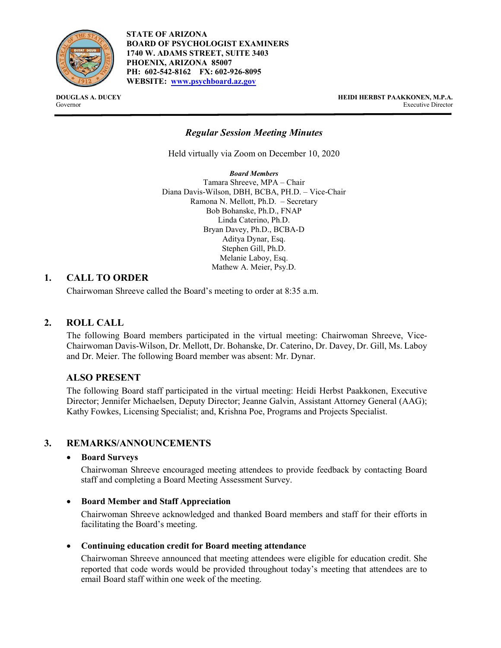

**STATE OF ARIZONA BOARD OF PSYCHOLOGIST EXAMINERS 1740 W. ADAMS STREET, SUITE 3403 PHOENIX, ARIZONA 85007 PH: 602-542-8162 FX: 602-926-8095 WEBSITE: [www.psychboard.az.gov](http://www.psychboard.az.gov/)**

**DOUGLAS A. DUCEY HEIDI HERBST PAAKKONEN, M.P.A.** Governor Executive Director

# *Regular Session Meeting Minutes*

Held virtually via Zoom on December 10, 2020

*Board Members* Tamara Shreeve, MPA – Chair Diana Davis-Wilson, DBH, BCBA, PH.D. – Vice-Chair Ramona N. Mellott, Ph.D. – Secretary Bob Bohanske, Ph.D., FNAP Linda Caterino, Ph.D. Bryan Davey, Ph.D., BCBA-D Aditya Dynar, Esq. Stephen Gill, Ph.D. Melanie Laboy, Esq. Mathew A. Meier, Psy.D.

### **1. CALL TO ORDER**

Chairwoman Shreeve called the Board's meeting to order at 8:35 a.m.

# **2. ROLL CALL**

The following Board members participated in the virtual meeting: Chairwoman Shreeve, Vice-Chairwoman Davis-Wilson, Dr. Mellott, Dr. Bohanske, Dr. Caterino, Dr. Davey, Dr. Gill, Ms. Laboy and Dr. Meier. The following Board member was absent: Mr. Dynar.

# **ALSO PRESENT**

The following Board staff participated in the virtual meeting: Heidi Herbst Paakkonen, Executive Director; Jennifer Michaelsen, Deputy Director; Jeanne Galvin, Assistant Attorney General (AAG); Kathy Fowkes, Licensing Specialist; and, Krishna Poe, Programs and Projects Specialist.

### **3. REMARKS/ANNOUNCEMENTS**

### • **Board Surveys**

Chairwoman Shreeve encouraged meeting attendees to provide feedback by contacting Board staff and completing a Board Meeting Assessment Survey.

### • **Board Member and Staff Appreciation**

Chairwoman Shreeve acknowledged and thanked Board members and staff for their efforts in facilitating the Board's meeting.

### • **Continuing education credit for Board meeting attendance**

Chairwoman Shreeve announced that meeting attendees were eligible for education credit. She reported that code words would be provided throughout today's meeting that attendees are to email Board staff within one week of the meeting.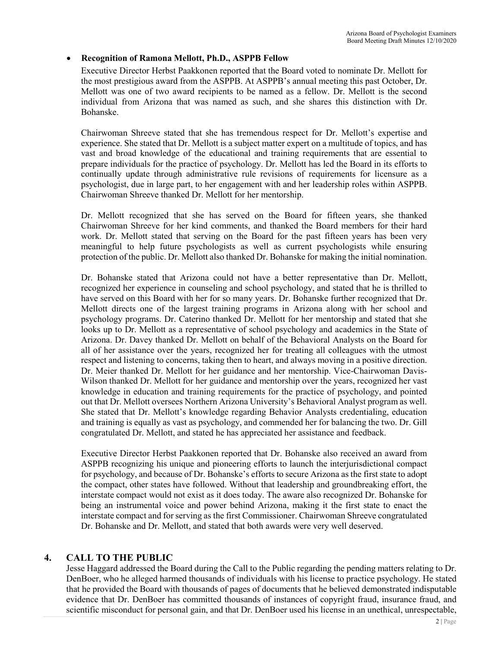# • **Recognition of Ramona Mellott, Ph.D., ASPPB Fellow**

Executive Director Herbst Paakkonen reported that the Board voted to nominate Dr. Mellott for the most prestigious award from the ASPPB. At ASPPB's annual meeting this past October, Dr. Mellott was one of two award recipients to be named as a fellow. Dr. Mellott is the second individual from Arizona that was named as such, and she shares this distinction with Dr. Bohanske.

Chairwoman Shreeve stated that she has tremendous respect for Dr. Mellott's expertise and experience. She stated that Dr. Mellott is a subject matter expert on a multitude of topics, and has vast and broad knowledge of the educational and training requirements that are essential to prepare individuals for the practice of psychology. Dr. Mellott has led the Board in its efforts to continually update through administrative rule revisions of requirements for licensure as a psychologist, due in large part, to her engagement with and her leadership roles within ASPPB. Chairwoman Shreeve thanked Dr. Mellott for her mentorship.

Dr. Mellott recognized that she has served on the Board for fifteen years, she thanked Chairwoman Shreeve for her kind comments, and thanked the Board members for their hard work. Dr. Mellott stated that serving on the Board for the past fifteen years has been very meaningful to help future psychologists as well as current psychologists while ensuring protection of the public. Dr. Mellott also thanked Dr. Bohanske for making the initial nomination.

Dr. Bohanske stated that Arizona could not have a better representative than Dr. Mellott, recognized her experience in counseling and school psychology, and stated that he is thrilled to have served on this Board with her for so many years. Dr. Bohanske further recognized that Dr. Mellott directs one of the largest training programs in Arizona along with her school and psychology programs. Dr. Caterino thanked Dr. Mellott for her mentorship and stated that she looks up to Dr. Mellott as a representative of school psychology and academics in the State of Arizona. Dr. Davey thanked Dr. Mellott on behalf of the Behavioral Analysts on the Board for all of her assistance over the years, recognized her for treating all colleagues with the utmost respect and listening to concerns, taking then to heart, and always moving in a positive direction. Dr. Meier thanked Dr. Mellott for her guidance and her mentorship. Vice-Chairwoman Davis-Wilson thanked Dr. Mellott for her guidance and mentorship over the years, recognized her vast knowledge in education and training requirements for the practice of psychology, and pointed out that Dr. Mellott oversees Northern Arizona University's Behavioral Analyst program as well. She stated that Dr. Mellott's knowledge regarding Behavior Analysts credentialing, education and training is equally as vast as psychology, and commended her for balancing the two. Dr. Gill congratulated Dr. Mellott, and stated he has appreciated her assistance and feedback.

Executive Director Herbst Paakkonen reported that Dr. Bohanske also received an award from ASPPB recognizing his unique and pioneering efforts to launch the interjurisdictional compact for psychology, and because of Dr. Bohanske's efforts to secure Arizona as the first state to adopt the compact, other states have followed. Without that leadership and groundbreaking effort, the interstate compact would not exist as it does today. The aware also recognized Dr. Bohanske for being an instrumental voice and power behind Arizona, making it the first state to enact the interstate compact and for serving as the first Commissioner. Chairwoman Shreeve congratulated Dr. Bohanske and Dr. Mellott, and stated that both awards were very well deserved.

### **4. CALL TO THE PUBLIC**

Jesse Haggard addressed the Board during the Call to the Public regarding the pending matters relating to Dr. DenBoer, who he alleged harmed thousands of individuals with his license to practice psychology. He stated that he provided the Board with thousands of pages of documents that he believed demonstrated indisputable evidence that Dr. DenBoer has committed thousands of instances of copyright fraud, insurance fraud, and scientific misconduct for personal gain, and that Dr. DenBoer used his license in an unethical, unrespectable,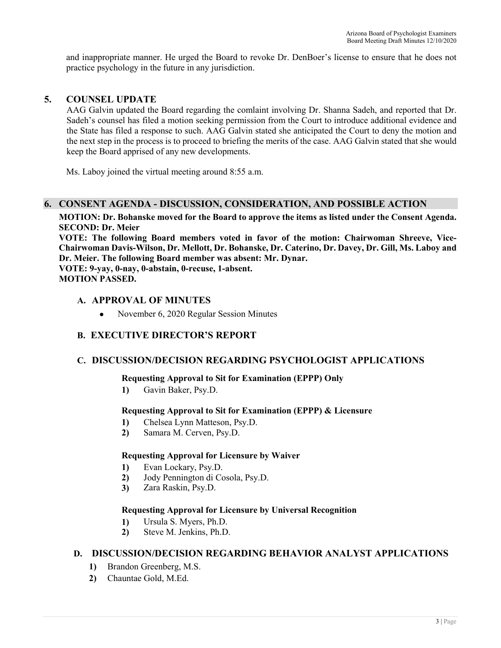and inappropriate manner. He urged the Board to revoke Dr. DenBoer's license to ensure that he does not practice psychology in the future in any jurisdiction.

# **5. COUNSEL UPDATE**

AAG Galvin updated the Board regarding the comlaint involving Dr. Shanna Sadeh, and reported that Dr. Sadeh's counsel has filed a motion seeking permission from the Court to introduce additional evidence and the State has filed a response to such. AAG Galvin stated she anticipated the Court to deny the motion and the next step in the process is to proceed to briefing the merits of the case. AAG Galvin stated that she would keep the Board apprised of any new developments.

Ms. Laboy joined the virtual meeting around 8:55 a.m.

# **6. CONSENT AGENDA - DISCUSSION, CONSIDERATION, AND POSSIBLE ACTION**

**MOTION: Dr. Bohanske moved for the Board to approve the items as listed under the Consent Agenda. SECOND: Dr. Meier**

**VOTE: The following Board members voted in favor of the motion: Chairwoman Shreeve, Vice-Chairwoman Davis-Wilson, Dr. Mellott, Dr. Bohanske, Dr. Caterino, Dr. Davey, Dr. Gill, Ms. Laboy and Dr. Meier. The following Board member was absent: Mr. Dynar. VOTE: 9-yay, 0-nay, 0-abstain, 0-recuse, 1-absent. MOTION PASSED.** 

### **A. APPROVAL OF MINUTES**

• November 6, 2020 Regular Session Minutes

# **B. EXECUTIVE DIRECTOR'S REPORT**

# **C. DISCUSSION/DECISION REGARDING PSYCHOLOGIST APPLICATIONS**

### **Requesting Approval to Sit for Examination (EPPP) Only**

**1)** Gavin Baker, Psy.D.

### **Requesting Approval to Sit for Examination (EPPP) & Licensure**

- **1)** Chelsea Lynn Matteson, Psy.D.
- **2)** Samara M. Cerven, Psy.D.

### **Requesting Approval for Licensure by Waiver**

- **1)** Evan Lockary, Psy.D.
- **2)** Jody Pennington di Cosola, Psy.D.
- **3)** Zara Raskin, Psy.D.

### **Requesting Approval for Licensure by Universal Recognition**

- **1)** Ursula S. Myers, Ph.D.
- **2)** Steve M. Jenkins, Ph.D.

# **D. DISCUSSION/DECISION REGARDING BEHAVIOR ANALYST APPLICATIONS**

- **1)** Brandon Greenberg, M.S.
- **2)** Chauntae Gold, M.Ed.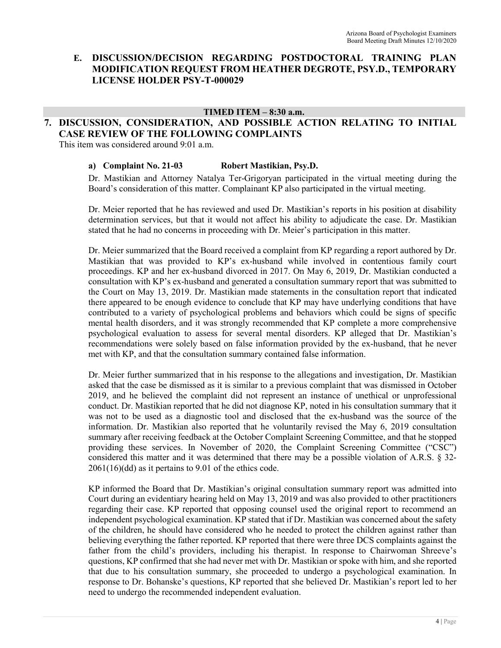# **E. DISCUSSION/DECISION REGARDING POSTDOCTORAL TRAINING PLAN MODIFICATION REQUEST FROM HEATHER DEGROTE, PSY.D., TEMPORARY LICENSE HOLDER PSY-T-000029**

#### **TIMED ITEM – 8:30 a.m.**

# **7. DISCUSSION, CONSIDERATION, AND POSSIBLE ACTION RELATING TO INITIAL CASE REVIEW OF THE FOLLOWING COMPLAINTS**

This item was considered around 9:01 a.m.

### **a) Complaint No. 21-03 Robert Mastikian, Psy.D.**

Dr. Mastikian and Attorney Natalya Ter-Grigoryan participated in the virtual meeting during the Board's consideration of this matter. Complainant KP also participated in the virtual meeting.

Dr. Meier reported that he has reviewed and used Dr. Mastikian's reports in his position at disability determination services, but that it would not affect his ability to adjudicate the case. Dr. Mastikian stated that he had no concerns in proceeding with Dr. Meier's participation in this matter.

Dr. Meier summarized that the Board received a complaint from KP regarding a report authored by Dr. Mastikian that was provided to KP's ex-husband while involved in contentious family court proceedings. KP and her ex-husband divorced in 2017. On May 6, 2019, Dr. Mastikian conducted a consultation with KP's ex-husband and generated a consultation summary report that was submitted to the Court on May 13, 2019. Dr. Mastikian made statements in the consultation report that indicated there appeared to be enough evidence to conclude that KP may have underlying conditions that have contributed to a variety of psychological problems and behaviors which could be signs of specific mental health disorders, and it was strongly recommended that KP complete a more comprehensive psychological evaluation to assess for several mental disorders. KP alleged that Dr. Mastikian's recommendations were solely based on false information provided by the ex-husband, that he never met with KP, and that the consultation summary contained false information.

Dr. Meier further summarized that in his response to the allegations and investigation, Dr. Mastikian asked that the case be dismissed as it is similar to a previous complaint that was dismissed in October 2019, and he believed the complaint did not represent an instance of unethical or unprofessional conduct. Dr. Mastikian reported that he did not diagnose KP, noted in his consultation summary that it was not to be used as a diagnostic tool and disclosed that the ex-husband was the source of the information. Dr. Mastikian also reported that he voluntarily revised the May 6, 2019 consultation summary after receiving feedback at the October Complaint Screening Committee, and that he stopped providing these services. In November of 2020, the Complaint Screening Committee ("CSC") considered this matter and it was determined that there may be a possible violation of A.R.S. § 32- 2061(16)(dd) as it pertains to 9.01 of the ethics code.

KP informed the Board that Dr. Mastikian's original consultation summary report was admitted into Court during an evidentiary hearing held on May 13, 2019 and was also provided to other practitioners regarding their case. KP reported that opposing counsel used the original report to recommend an independent psychological examination. KP stated that if Dr. Mastikian was concerned about the safety of the children, he should have considered who he needed to protect the children against rather than believing everything the father reported. KP reported that there were three DCS complaints against the father from the child's providers, including his therapist. In response to Chairwoman Shreeve's questions, KP confirmed that she had never met with Dr. Mastikian or spoke with him, and she reported that due to his consultation summary, she proceeded to undergo a psychological examination. In response to Dr. Bohanske's questions, KP reported that she believed Dr. Mastikian's report led to her need to undergo the recommended independent evaluation.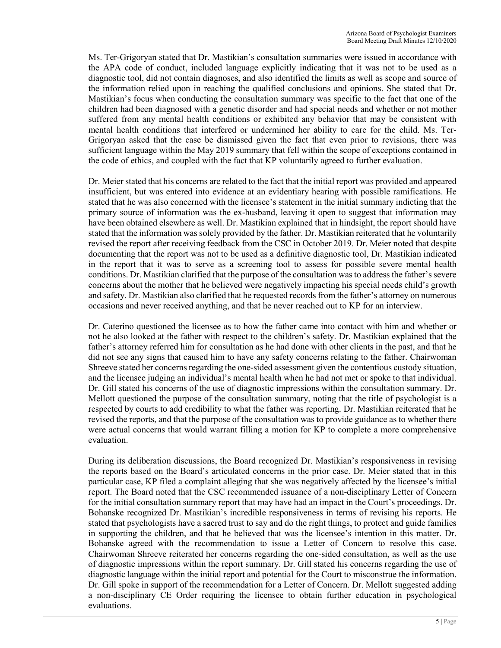Ms. Ter-Grigoryan stated that Dr. Mastikian's consultation summaries were issued in accordance with the APA code of conduct, included language explicitly indicating that it was not to be used as a diagnostic tool, did not contain diagnoses, and also identified the limits as well as scope and source of the information relied upon in reaching the qualified conclusions and opinions. She stated that Dr. Mastikian's focus when conducting the consultation summary was specific to the fact that one of the children had been diagnosed with a genetic disorder and had special needs and whether or not mother suffered from any mental health conditions or exhibited any behavior that may be consistent with mental health conditions that interfered or undermined her ability to care for the child. Ms. Ter-Grigoryan asked that the case be dismissed given the fact that even prior to revisions, there was sufficient language within the May 2019 summary that fell within the scope of exceptions contained in the code of ethics, and coupled with the fact that KP voluntarily agreed to further evaluation.

Dr. Meier stated that his concerns are related to the fact that the initial report was provided and appeared insufficient, but was entered into evidence at an evidentiary hearing with possible ramifications. He stated that he was also concerned with the licensee's statement in the initial summary indicting that the primary source of information was the ex-husband, leaving it open to suggest that information may have been obtained elsewhere as well. Dr. Mastikian explained that in hindsight, the report should have stated that the information was solely provided by the father. Dr. Mastikian reiterated that he voluntarily revised the report after receiving feedback from the CSC in October 2019. Dr. Meier noted that despite documenting that the report was not to be used as a definitive diagnostic tool, Dr. Mastikian indicated in the report that it was to serve as a screening tool to assess for possible severe mental health conditions. Dr. Mastikian clarified that the purpose of the consultation was to address the father's severe concerns about the mother that he believed were negatively impacting his special needs child's growth and safety. Dr. Mastikian also clarified that he requested records from the father's attorney on numerous occasions and never received anything, and that he never reached out to KP for an interview.

Dr. Caterino questioned the licensee as to how the father came into contact with him and whether or not he also looked at the father with respect to the children's safety. Dr. Mastikian explained that the father's attorney referred him for consultation as he had done with other clients in the past, and that he did not see any signs that caused him to have any safety concerns relating to the father. Chairwoman Shreeve stated her concerns regarding the one-sided assessment given the contentious custody situation, and the licensee judging an individual's mental health when he had not met or spoke to that individual. Dr. Gill stated his concerns of the use of diagnostic impressions within the consultation summary. Dr. Mellott questioned the purpose of the consultation summary, noting that the title of psychologist is a respected by courts to add credibility to what the father was reporting. Dr. Mastikian reiterated that he revised the reports, and that the purpose of the consultation was to provide guidance as to whether there were actual concerns that would warrant filling a motion for KP to complete a more comprehensive evaluation.

During its deliberation discussions, the Board recognized Dr. Mastikian's responsiveness in revising the reports based on the Board's articulated concerns in the prior case. Dr. Meier stated that in this particular case, KP filed a complaint alleging that she was negatively affected by the licensee's initial report. The Board noted that the CSC recommended issuance of a non-disciplinary Letter of Concern for the initial consultation summary report that may have had an impact in the Court's proceedings. Dr. Bohanske recognized Dr. Mastikian's incredible responsiveness in terms of revising his reports. He stated that psychologists have a sacred trust to say and do the right things, to protect and guide families in supporting the children, and that he believed that was the licensee's intention in this matter. Dr. Bohanske agreed with the recommendation to issue a Letter of Concern to resolve this case. Chairwoman Shreeve reiterated her concerns regarding the one-sided consultation, as well as the use of diagnostic impressions within the report summary. Dr. Gill stated his concerns regarding the use of diagnostic language within the initial report and potential for the Court to misconstrue the information. Dr. Gill spoke in support of the recommendation for a Letter of Concern. Dr. Mellott suggested adding a non-disciplinary CE Order requiring the licensee to obtain further education in psychological evaluations.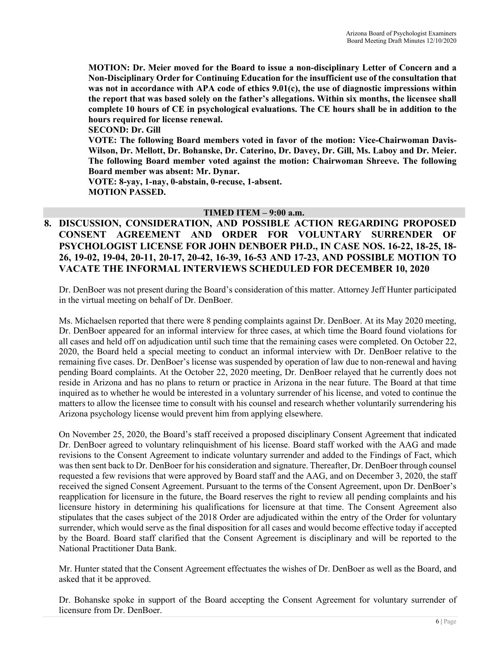**MOTION: Dr. Meier moved for the Board to issue a non-disciplinary Letter of Concern and a Non-Disciplinary Order for Continuing Education for the insufficient use of the consultation that was not in accordance with APA code of ethics 9.01(c), the use of diagnostic impressions within the report that was based solely on the father's allegations. Within six months, the licensee shall complete 10 hours of CE in psychological evaluations. The CE hours shall be in addition to the hours required for license renewal.** 

**SECOND: Dr. Gill** 

**VOTE: The following Board members voted in favor of the motion: Vice-Chairwoman Davis-Wilson, Dr. Mellott, Dr. Bohanske, Dr. Caterino, Dr. Davey, Dr. Gill, Ms. Laboy and Dr. Meier. The following Board member voted against the motion: Chairwoman Shreeve. The following Board member was absent: Mr. Dynar.**

**VOTE: 8-yay, 1-nay, 0-abstain, 0-recuse, 1-absent. MOTION PASSED.** 

# **TIMED ITEM – 9:00 a.m.**

**8. DISCUSSION, CONSIDERATION, AND POSSIBLE ACTION REGARDING PROPOSED CONSENT AGREEMENT AND ORDER FOR VOLUNTARY SURRENDER OF PSYCHOLOGIST LICENSE FOR JOHN DENBOER PH.D., IN CASE NOS. 16-22, 18-25, 18- 26, 19-02, 19-04, 20-11, 20-17, 20-42, 16-39, 16-53 AND 17-23, AND POSSIBLE MOTION TO VACATE THE INFORMAL INTERVIEWS SCHEDULED FOR DECEMBER 10, 2020**

Dr. DenBoer was not present during the Board's consideration of this matter. Attorney Jeff Hunter participated in the virtual meeting on behalf of Dr. DenBoer.

Ms. Michaelsen reported that there were 8 pending complaints against Dr. DenBoer. At its May 2020 meeting, Dr. DenBoer appeared for an informal interview for three cases, at which time the Board found violations for all cases and held off on adjudication until such time that the remaining cases were completed. On October 22, 2020, the Board held a special meeting to conduct an informal interview with Dr. DenBoer relative to the remaining five cases. Dr. DenBoer's license was suspended by operation of law due to non-renewal and having pending Board complaints. At the October 22, 2020 meeting, Dr. DenBoer relayed that he currently does not reside in Arizona and has no plans to return or practice in Arizona in the near future. The Board at that time inquired as to whether he would be interested in a voluntary surrender of his license, and voted to continue the matters to allow the licensee time to consult with his counsel and research whether voluntarily surrendering his Arizona psychology license would prevent him from applying elsewhere.

On November 25, 2020, the Board's staff received a proposed disciplinary Consent Agreement that indicated Dr. DenBoer agreed to voluntary relinquishment of his license. Board staff worked with the AAG and made revisions to the Consent Agreement to indicate voluntary surrender and added to the Findings of Fact, which was then sent back to Dr. DenBoer for his consideration and signature. Thereafter, Dr. DenBoer through counsel requested a few revisions that were approved by Board staff and the AAG, and on December 3, 2020, the staff received the signed Consent Agreement. Pursuant to the terms of the Consent Agreement, upon Dr. DenBoer's reapplication for licensure in the future, the Board reserves the right to review all pending complaints and his licensure history in determining his qualifications for licensure at that time. The Consent Agreement also stipulates that the cases subject of the 2018 Order are adjudicated within the entry of the Order for voluntary surrender, which would serve as the final disposition for all cases and would become effective today if accepted by the Board. Board staff clarified that the Consent Agreement is disciplinary and will be reported to the National Practitioner Data Bank.

Mr. Hunter stated that the Consent Agreement effectuates the wishes of Dr. DenBoer as well as the Board, and asked that it be approved.

Dr. Bohanske spoke in support of the Board accepting the Consent Agreement for voluntary surrender of licensure from Dr. DenBoer.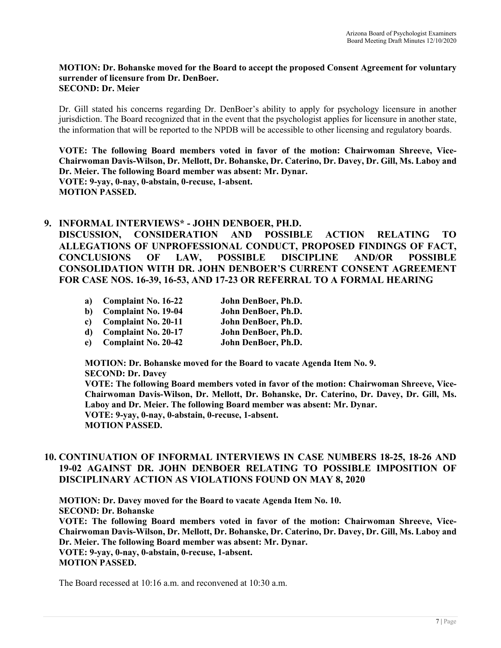#### **MOTION: Dr. Bohanske moved for the Board to accept the proposed Consent Agreement for voluntary surrender of licensure from Dr. DenBoer. SECOND: Dr. Meier**

Dr. Gill stated his concerns regarding Dr. DenBoer's ability to apply for psychology licensure in another jurisdiction. The Board recognized that in the event that the psychologist applies for licensure in another state, the information that will be reported to the NPDB will be accessible to other licensing and regulatory boards.

**VOTE: The following Board members voted in favor of the motion: Chairwoman Shreeve, Vice-Chairwoman Davis-Wilson, Dr. Mellott, Dr. Bohanske, Dr. Caterino, Dr. Davey, Dr. Gill, Ms. Laboy and Dr. Meier. The following Board member was absent: Mr. Dynar. VOTE: 9-yay, 0-nay, 0-abstain, 0-recuse, 1-absent. MOTION PASSED.** 

### **9. INFORMAL INTERVIEWS\* - JOHN DENBOER, PH.D.**

**DISCUSSION, CONSIDERATION AND POSSIBLE ACTION RELATING TO ALLEGATIONS OF UNPROFESSIONAL CONDUCT, PROPOSED FINDINGS OF FACT, CONCLUSIONS OF LAW, POSSIBLE DISCIPLINE AND/OR POSSIBLE CONSOLIDATION WITH DR. JOHN DENBOER'S CURRENT CONSENT AGREEMENT FOR CASE NOS. 16-39, 16-53, AND 17-23 OR REFERRAL TO A FORMAL HEARING** 

| a)           | <b>Complaint No. 16-22</b> | John DenBoer, Ph.D. |
|--------------|----------------------------|---------------------|
| b)           | <b>Complaint No. 19-04</b> | John DenBoer, Ph.D. |
| $\mathbf{c}$ | Complaint No. 20-11        | John DenBoer, Ph.D. |
| d)           | <b>Complaint No. 20-17</b> | John DenBoer, Ph.D. |
| $e$ )        | <b>Complaint No. 20-42</b> | John DenBoer, Ph.D. |

**MOTION: Dr. Bohanske moved for the Board to vacate Agenda Item No. 9. SECOND: Dr. Davey** 

**VOTE: The following Board members voted in favor of the motion: Chairwoman Shreeve, Vice-Chairwoman Davis-Wilson, Dr. Mellott, Dr. Bohanske, Dr. Caterino, Dr. Davey, Dr. Gill, Ms. Laboy and Dr. Meier. The following Board member was absent: Mr. Dynar. VOTE: 9-yay, 0-nay, 0-abstain, 0-recuse, 1-absent. MOTION PASSED.** 

# **10. CONTINUATION OF INFORMAL INTERVIEWS IN CASE NUMBERS 18-25, 18-26 AND 19-02 AGAINST DR. JOHN DENBOER RELATING TO POSSIBLE IMPOSITION OF DISCIPLINARY ACTION AS VIOLATIONS FOUND ON MAY 8, 2020**

**MOTION: Dr. Davey moved for the Board to vacate Agenda Item No. 10. SECOND: Dr. Bohanske VOTE: The following Board members voted in favor of the motion: Chairwoman Shreeve, Vice-Chairwoman Davis-Wilson, Dr. Mellott, Dr. Bohanske, Dr. Caterino, Dr. Davey, Dr. Gill, Ms. Laboy and Dr. Meier. The following Board member was absent: Mr. Dynar. VOTE: 9-yay, 0-nay, 0-abstain, 0-recuse, 1-absent. MOTION PASSED.** 

The Board recessed at 10:16 a.m. and reconvened at 10:30 a.m.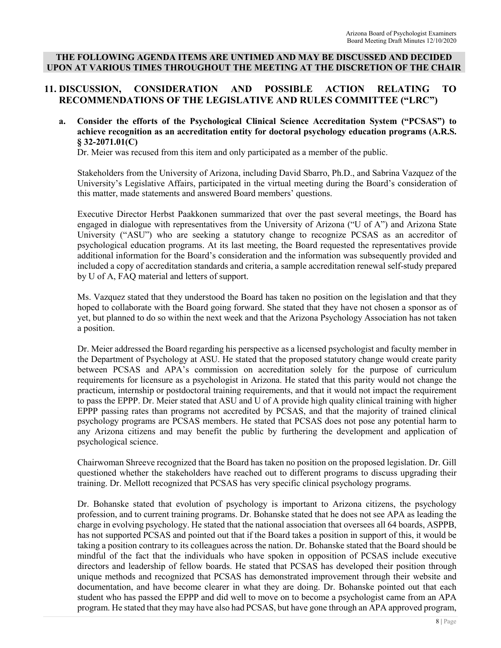### **THE FOLLOWING AGENDA ITEMS ARE UNTIMED AND MAY BE DISCUSSED AND DECIDED UPON AT VARIOUS TIMES THROUGHOUT THE MEETING AT THE DISCRETION OF THE CHAIR**

# **11. DISCUSSION, CONSIDERATION AND POSSIBLE ACTION RELATING TO RECOMMENDATIONS OF THE LEGISLATIVE AND RULES COMMITTEE ("LRC")**

### **a. Consider the efforts of the Psychological Clinical Science Accreditation System ("PCSAS") to achieve recognition as an accreditation entity for doctoral psychology education programs (A.R.S. § 32-2071.01(C)**

Dr. Meier was recused from this item and only participated as a member of the public.

Stakeholders from the University of Arizona, including David Sbarro, Ph.D., and Sabrina Vazquez of the University's Legislative Affairs, participated in the virtual meeting during the Board's consideration of this matter, made statements and answered Board members' questions.

Executive Director Herbst Paakkonen summarized that over the past several meetings, the Board has engaged in dialogue with representatives from the University of Arizona ("U of A") and Arizona State University ("ASU") who are seeking a statutory change to recognize PCSAS as an accreditor of psychological education programs. At its last meeting, the Board requested the representatives provide additional information for the Board's consideration and the information was subsequently provided and included a copy of accreditation standards and criteria, a sample accreditation renewal self-study prepared by U of A, FAQ material and letters of support.

Ms. Vazquez stated that they understood the Board has taken no position on the legislation and that they hoped to collaborate with the Board going forward. She stated that they have not chosen a sponsor as of yet, but planned to do so within the next week and that the Arizona Psychology Association has not taken a position.

Dr. Meier addressed the Board regarding his perspective as a licensed psychologist and faculty member in the Department of Psychology at ASU. He stated that the proposed statutory change would create parity between PCSAS and APA's commission on accreditation solely for the purpose of curriculum requirements for licensure as a psychologist in Arizona. He stated that this parity would not change the practicum, internship or postdoctoral training requirements, and that it would not impact the requirement to pass the EPPP. Dr. Meier stated that ASU and U of A provide high quality clinical training with higher EPPP passing rates than programs not accredited by PCSAS, and that the majority of trained clinical psychology programs are PCSAS members. He stated that PCSAS does not pose any potential harm to any Arizona citizens and may benefit the public by furthering the development and application of psychological science.

Chairwoman Shreeve recognized that the Board has taken no position on the proposed legislation. Dr. Gill questioned whether the stakeholders have reached out to different programs to discuss upgrading their training. Dr. Mellott recognized that PCSAS has very specific clinical psychology programs.

Dr. Bohanske stated that evolution of psychology is important to Arizona citizens, the psychology profession, and to current training programs. Dr. Bohanske stated that he does not see APA as leading the charge in evolving psychology. He stated that the national association that oversees all 64 boards, ASPPB, has not supported PCSAS and pointed out that if the Board takes a position in support of this, it would be taking a position contrary to its colleagues across the nation. Dr. Bohanske stated that the Board should be mindful of the fact that the individuals who have spoken in opposition of PCSAS include executive directors and leadership of fellow boards. He stated that PCSAS has developed their position through unique methods and recognized that PCSAS has demonstrated improvement through their website and documentation, and have become clearer in what they are doing. Dr. Bohanske pointed out that each student who has passed the EPPP and did well to move on to become a psychologist came from an APA program. He stated that they may have also had PCSAS, but have gone through an APA approved program,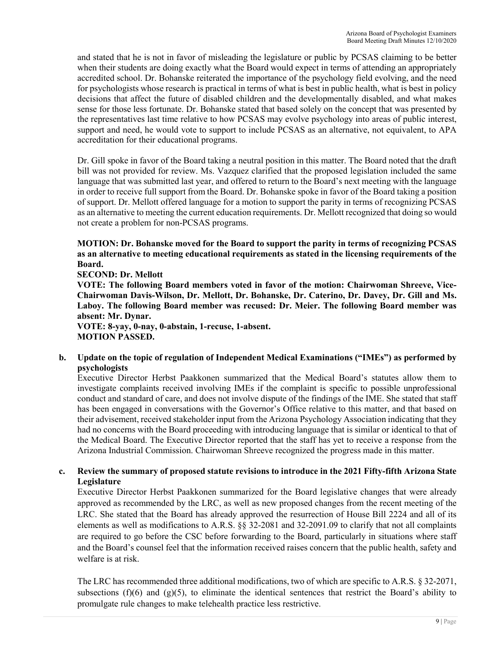and stated that he is not in favor of misleading the legislature or public by PCSAS claiming to be better when their students are doing exactly what the Board would expect in terms of attending an appropriately accredited school. Dr. Bohanske reiterated the importance of the psychology field evolving, and the need for psychologists whose research is practical in terms of what is best in public health, what is best in policy decisions that affect the future of disabled children and the developmentally disabled, and what makes sense for those less fortunate. Dr. Bohanske stated that based solely on the concept that was presented by the representatives last time relative to how PCSAS may evolve psychology into areas of public interest, support and need, he would vote to support to include PCSAS as an alternative, not equivalent, to APA accreditation for their educational programs.

Dr. Gill spoke in favor of the Board taking a neutral position in this matter. The Board noted that the draft bill was not provided for review. Ms. Vazquez clarified that the proposed legislation included the same language that was submitted last year, and offered to return to the Board's next meeting with the language in order to receive full support from the Board. Dr. Bohanske spoke in favor of the Board taking a position of support. Dr. Mellott offered language for a motion to support the parity in terms of recognizing PCSAS as an alternative to meeting the current education requirements. Dr. Mellott recognized that doing so would not create a problem for non-PCSAS programs.

# **MOTION: Dr. Bohanske moved for the Board to support the parity in terms of recognizing PCSAS as an alternative to meeting educational requirements as stated in the licensing requirements of the Board.**

**SECOND: Dr. Mellott** 

**VOTE: The following Board members voted in favor of the motion: Chairwoman Shreeve, Vice-Chairwoman Davis-Wilson, Dr. Mellott, Dr. Bohanske, Dr. Caterino, Dr. Davey, Dr. Gill and Ms. Laboy. The following Board member was recused: Dr. Meier. The following Board member was absent: Mr. Dynar.**

**VOTE: 8-yay, 0-nay, 0-abstain, 1-recuse, 1-absent. MOTION PASSED.** 

### **b. Update on the topic of regulation of Independent Medical Examinations ("IMEs") as performed by psychologists**

Executive Director Herbst Paakkonen summarized that the Medical Board's statutes allow them to investigate complaints received involving IMEs if the complaint is specific to possible unprofessional conduct and standard of care, and does not involve dispute of the findings of the IME. She stated that staff has been engaged in conversations with the Governor's Office relative to this matter, and that based on their advisement, received stakeholder input from the Arizona Psychology Association indicating that they had no concerns with the Board proceeding with introducing language that is similar or identical to that of the Medical Board. The Executive Director reported that the staff has yet to receive a response from the Arizona Industrial Commission. Chairwoman Shreeve recognized the progress made in this matter.

### **c. Review the summary of proposed statute revisions to introduce in the 2021 Fifty-fifth Arizona State Legislature**

Executive Director Herbst Paakkonen summarized for the Board legislative changes that were already approved as recommended by the LRC, as well as new proposed changes from the recent meeting of the LRC. She stated that the Board has already approved the resurrection of House Bill 2224 and all of its elements as well as modifications to A.R.S. §§ 32-2081 and 32-2091.09 to clarify that not all complaints are required to go before the CSC before forwarding to the Board, particularly in situations where staff and the Board's counsel feel that the information received raises concern that the public health, safety and welfare is at risk.

The LRC has recommended three additional modifications, two of which are specific to A.R.S. § 32-2071, subsections  $(f)(6)$  and  $(g)(5)$ , to eliminate the identical sentences that restrict the Board's ability to promulgate rule changes to make telehealth practice less restrictive.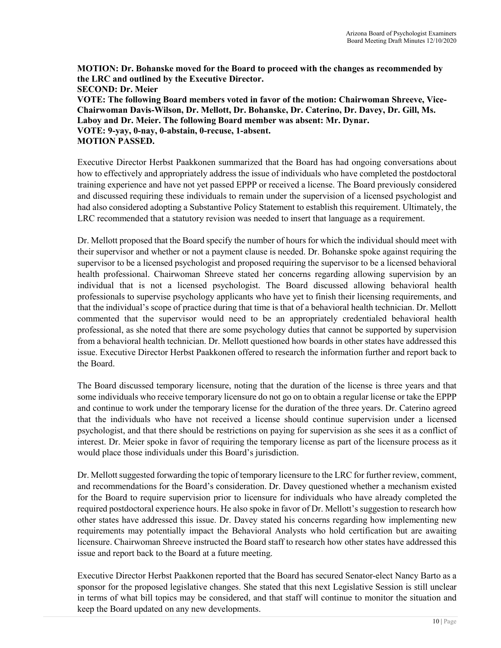**MOTION: Dr. Bohanske moved for the Board to proceed with the changes as recommended by the LRC and outlined by the Executive Director. SECOND: Dr. Meier VOTE: The following Board members voted in favor of the motion: Chairwoman Shreeve, Vice-Chairwoman Davis-Wilson, Dr. Mellott, Dr. Bohanske, Dr. Caterino, Dr. Davey, Dr. Gill, Ms. Laboy and Dr. Meier. The following Board member was absent: Mr. Dynar. VOTE: 9-yay, 0-nay, 0-abstain, 0-recuse, 1-absent. MOTION PASSED.** 

Executive Director Herbst Paakkonen summarized that the Board has had ongoing conversations about how to effectively and appropriately address the issue of individuals who have completed the postdoctoral training experience and have not yet passed EPPP or received a license. The Board previously considered and discussed requiring these individuals to remain under the supervision of a licensed psychologist and had also considered adopting a Substantive Policy Statement to establish this requirement. Ultimately, the LRC recommended that a statutory revision was needed to insert that language as a requirement.

Dr. Mellott proposed that the Board specify the number of hours for which the individual should meet with their supervisor and whether or not a payment clause is needed. Dr. Bohanske spoke against requiring the supervisor to be a licensed psychologist and proposed requiring the supervisor to be a licensed behavioral health professional. Chairwoman Shreeve stated her concerns regarding allowing supervision by an individual that is not a licensed psychologist. The Board discussed allowing behavioral health professionals to supervise psychology applicants who have yet to finish their licensing requirements, and that the individual's scope of practice during that time is that of a behavioral health technician. Dr. Mellott commented that the supervisor would need to be an appropriately credentialed behavioral health professional, as she noted that there are some psychology duties that cannot be supported by supervision from a behavioral health technician. Dr. Mellott questioned how boards in other states have addressed this issue. Executive Director Herbst Paakkonen offered to research the information further and report back to the Board.

The Board discussed temporary licensure, noting that the duration of the license is three years and that some individuals who receive temporary licensure do not go on to obtain a regular license or take the EPPP and continue to work under the temporary license for the duration of the three years. Dr. Caterino agreed that the individuals who have not received a license should continue supervision under a licensed psychologist, and that there should be restrictions on paying for supervision as she sees it as a conflict of interest. Dr. Meier spoke in favor of requiring the temporary license as part of the licensure process as it would place those individuals under this Board's jurisdiction.

Dr. Mellott suggested forwarding the topic of temporary licensure to the LRC for further review, comment, and recommendations for the Board's consideration. Dr. Davey questioned whether a mechanism existed for the Board to require supervision prior to licensure for individuals who have already completed the required postdoctoral experience hours. He also spoke in favor of Dr. Mellott's suggestion to research how other states have addressed this issue. Dr. Davey stated his concerns regarding how implementing new requirements may potentially impact the Behavioral Analysts who hold certification but are awaiting licensure. Chairwoman Shreeve instructed the Board staff to research how other states have addressed this issue and report back to the Board at a future meeting.

Executive Director Herbst Paakkonen reported that the Board has secured Senator-elect Nancy Barto as a sponsor for the proposed legislative changes. She stated that this next Legislative Session is still unclear in terms of what bill topics may be considered, and that staff will continue to monitor the situation and keep the Board updated on any new developments.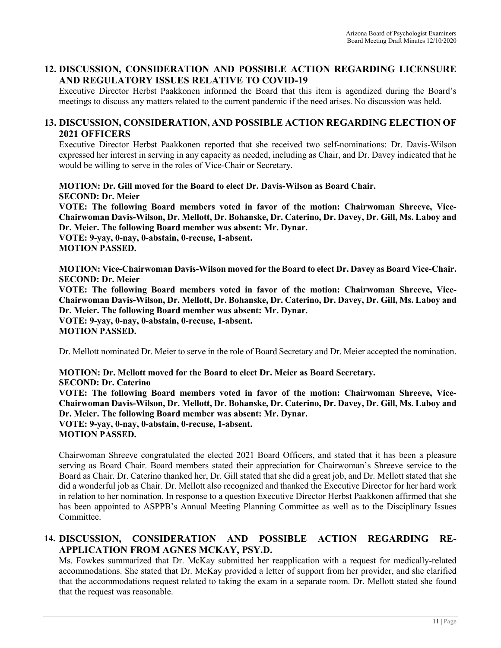# **12. DISCUSSION, CONSIDERATION AND POSSIBLE ACTION REGARDING LICENSURE AND REGULATORY ISSUES RELATIVE TO COVID-19**

Executive Director Herbst Paakkonen informed the Board that this item is agendized during the Board's meetings to discuss any matters related to the current pandemic if the need arises. No discussion was held.

# **13. DISCUSSION, CONSIDERATION, AND POSSIBLE ACTION REGARDING ELECTION OF 2021 OFFICERS**

Executive Director Herbst Paakkonen reported that she received two self-nominations: Dr. Davis-Wilson expressed her interest in serving in any capacity as needed, including as Chair, and Dr. Davey indicated that he would be willing to serve in the roles of Vice-Chair or Secretary.

**MOTION: Dr. Gill moved for the Board to elect Dr. Davis-Wilson as Board Chair. SECOND: Dr. Meier** 

**VOTE: The following Board members voted in favor of the motion: Chairwoman Shreeve, Vice-Chairwoman Davis-Wilson, Dr. Mellott, Dr. Bohanske, Dr. Caterino, Dr. Davey, Dr. Gill, Ms. Laboy and Dr. Meier. The following Board member was absent: Mr. Dynar. VOTE: 9-yay, 0-nay, 0-abstain, 0-recuse, 1-absent.** 

**MOTION PASSED.** 

**MOTION: Vice-Chairwoman Davis-Wilson moved for the Board to elect Dr. Davey as Board Vice-Chair. SECOND: Dr. Meier** 

**VOTE: The following Board members voted in favor of the motion: Chairwoman Shreeve, Vice-Chairwoman Davis-Wilson, Dr. Mellott, Dr. Bohanske, Dr. Caterino, Dr. Davey, Dr. Gill, Ms. Laboy and Dr. Meier. The following Board member was absent: Mr. Dynar. VOTE: 9-yay, 0-nay, 0-abstain, 0-recuse, 1-absent. MOTION PASSED.** 

Dr. Mellott nominated Dr. Meier to serve in the role of Board Secretary and Dr. Meier accepted the nomination.

**MOTION: Dr. Mellott moved for the Board to elect Dr. Meier as Board Secretary. SECOND: Dr. Caterino VOTE: The following Board members voted in favor of the motion: Chairwoman Shreeve, Vice-Chairwoman Davis-Wilson, Dr. Mellott, Dr. Bohanske, Dr. Caterino, Dr. Davey, Dr. Gill, Ms. Laboy and Dr. Meier. The following Board member was absent: Mr. Dynar. VOTE: 9-yay, 0-nay, 0-abstain, 0-recuse, 1-absent. MOTION PASSED.** 

Chairwoman Shreeve congratulated the elected 2021 Board Officers, and stated that it has been a pleasure serving as Board Chair. Board members stated their appreciation for Chairwoman's Shreeve service to the Board as Chair. Dr. Caterino thanked her, Dr. Gill stated that she did a great job, and Dr. Mellott stated that she did a wonderful job as Chair. Dr. Mellott also recognized and thanked the Executive Director for her hard work in relation to her nomination. In response to a question Executive Director Herbst Paakkonen affirmed that she has been appointed to ASPPB's Annual Meeting Planning Committee as well as to the Disciplinary Issues Committee.

# **14. DISCUSSION, CONSIDERATION AND POSSIBLE ACTION REGARDING RE-APPLICATION FROM AGNES MCKAY, PSY.D.**

Ms. Fowkes summarized that Dr. McKay submitted her reapplication with a request for medically-related accommodations. She stated that Dr. McKay provided a letter of support from her provider, and she clarified that the accommodations request related to taking the exam in a separate room. Dr. Mellott stated she found that the request was reasonable.